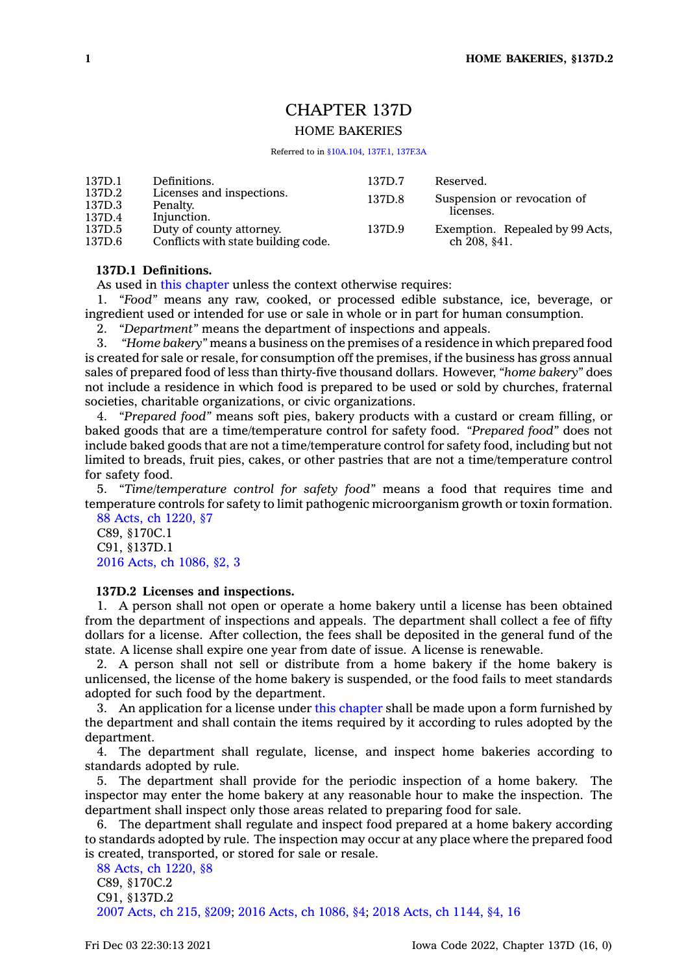# CHAPTER 137D

# HOME BAKERIES

Referred to in [§10A.104](https://www.legis.iowa.gov/docs/code/10A.104.pdf), [137F.1](https://www.legis.iowa.gov/docs/code/137F.1.pdf), [137F.3A](https://www.legis.iowa.gov/docs/code/137F.3A.pdf)

| 137D.1 | Definitions.                        | 137D.7 | Reserved.                       |
|--------|-------------------------------------|--------|---------------------------------|
| 137D.2 | Licenses and inspections.           | 137D.8 | Suspension or revocation of     |
| 137D.3 | Penalty.                            |        | licenses.                       |
| 137D.4 | Injunction.                         |        |                                 |
| 137D.5 | Duty of county attorney.            | 137D.9 | Exemption. Repealed by 99 Acts, |
| 137D.6 | Conflicts with state building code. |        | ch 208, §41.                    |

## **137D.1 Definitions.**

As used in this [chapter](https://www.legis.iowa.gov/docs/code//137D.pdf) unless the context otherwise requires:

1. *"Food"* means any raw, cooked, or processed edible substance, ice, beverage, or ingredient used or intended for use or sale in whole or in part for human consumption.

2. *"Department"* means the department of inspections and appeals.

3. *"Home bakery"* means <sup>a</sup> business on the premises of <sup>a</sup> residence in which prepared food is created for sale or resale, for consumption off the premises, if the business has gross annual sales of prepared food of less than thirty-five thousand dollars. However, *"home bakery"* does not include <sup>a</sup> residence in which food is prepared to be used or sold by churches, fraternal societies, charitable organizations, or civic organizations.

4. *"Prepared food"* means soft pies, bakery products with <sup>a</sup> custard or cream filling, or baked goods that are <sup>a</sup> time/temperature control for safety food. *"Prepared food"* does not include baked goods that are not <sup>a</sup> time/temperature control for safety food, including but not limited to breads, fruit pies, cakes, or other pastries that are not <sup>a</sup> time/temperature control for safety food.

5. *"Time/temperature control for safety food"* means <sup>a</sup> food that requires time and temperature controls for safety to limit pathogenic microorganism growth or toxin formation. 88 Acts, ch [1220,](https://www.legis.iowa.gov/docs/acts/1988/CH1220.pdf) §7

C89, §170C.1 C91, §137D.1 2016 Acts, ch [1086,](https://www.legis.iowa.gov/docs/acts/2016/CH1086.pdf) §2, 3

#### **137D.2 Licenses and inspections.**

1. A person shall not open or operate <sup>a</sup> home bakery until <sup>a</sup> license has been obtained from the department of inspections and appeals. The department shall collect <sup>a</sup> fee of fifty dollars for <sup>a</sup> license. After collection, the fees shall be deposited in the general fund of the state. A license shall expire one year from date of issue. A license is renewable.

2. A person shall not sell or distribute from <sup>a</sup> home bakery if the home bakery is unlicensed, the license of the home bakery is suspended, or the food fails to meet standards adopted for such food by the department.

3. An application for <sup>a</sup> license under this [chapter](https://www.legis.iowa.gov/docs/code//137D.pdf) shall be made upon <sup>a</sup> form furnished by the department and shall contain the items required by it according to rules adopted by the department.

4. The department shall regulate, license, and inspect home bakeries according to standards adopted by rule.

5. The department shall provide for the periodic inspection of <sup>a</sup> home bakery. The inspector may enter the home bakery at any reasonable hour to make the inspection. The department shall inspect only those areas related to preparing food for sale.

6. The department shall regulate and inspect food prepared at <sup>a</sup> home bakery according to standards adopted by rule. The inspection may occur at any place where the prepared food is created, transported, or stored for sale or resale.

88 Acts, ch [1220,](https://www.legis.iowa.gov/docs/acts/1988/CH1220.pdf) §8 C89, §170C.2 C91, §137D.2 2007 [Acts,](https://www.legis.iowa.gov/docs/acts/2007/CH0215.pdf) ch 215, §209; 2016 Acts, ch [1086,](https://www.legis.iowa.gov/docs/acts/2016/CH1086.pdf) §4; 2018 Acts, ch [1144,](https://www.legis.iowa.gov/docs/acts/2018/CH1144.pdf) §4, 16